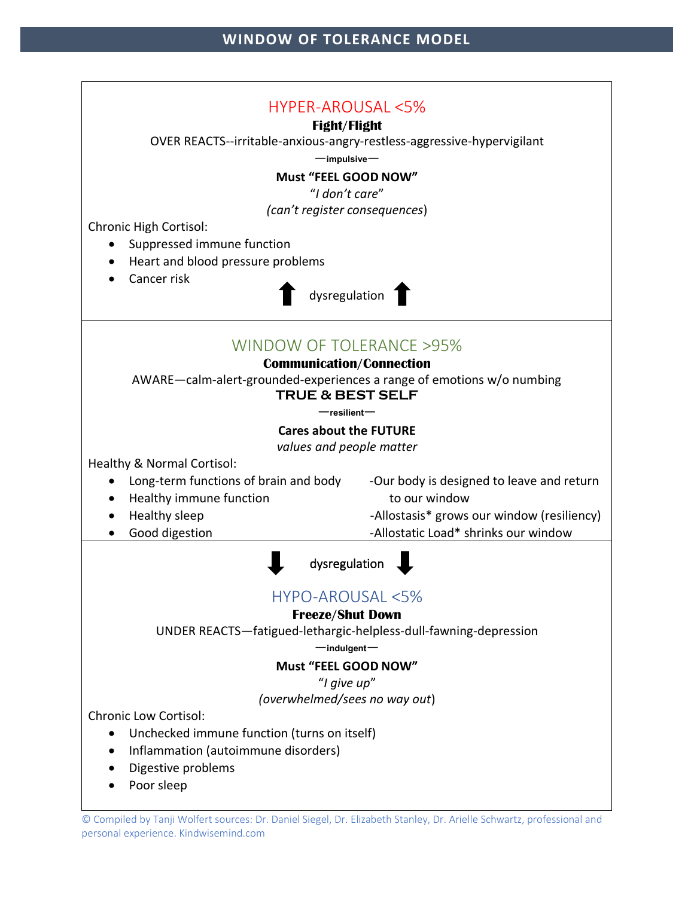

© Compiled by Tanji Wolfert sources: Dr. Daniel Siegel, Dr. Elizabeth Stanley, Dr. Arielle Schwartz, professional and personal experience. Kindwisemind.com